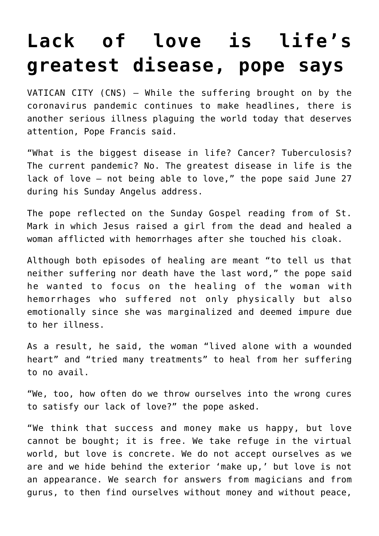## **[Lack of love is life's](https://www.osvnews.com/2021/06/28/lack-of-love-is-lifes-greatest-disease-pope-says/) [greatest disease, pope says](https://www.osvnews.com/2021/06/28/lack-of-love-is-lifes-greatest-disease-pope-says/)**

VATICAN CITY (CNS) — While the suffering brought on by the coronavirus pandemic continues to make headlines, there is another serious illness plaguing the world today that deserves attention, Pope Francis said.

"What is the biggest disease in life? Cancer? Tuberculosis? The current pandemic? No. The greatest disease in life is the lack of love — not being able to love," the pope said June 27 during his Sunday Angelus address.

The pope reflected on the Sunday Gospel reading from of St. Mark in which Jesus raised a girl from the dead and healed a woman afflicted with hemorrhages after she touched his cloak.

Although both episodes of healing are meant "to tell us that neither suffering nor death have the last word," the pope said he wanted to focus on the healing of the woman with hemorrhages who suffered not only physically but also emotionally since she was marginalized and deemed impure due to her illness.

As a result, he said, the woman "lived alone with a wounded heart" and "tried many treatments" to heal from her suffering to no avail.

"We, too, how often do we throw ourselves into the wrong cures to satisfy our lack of love?" the pope asked.

"We think that success and money make us happy, but love cannot be bought; it is free. We take refuge in the virtual world, but love is concrete. We do not accept ourselves as we are and we hide behind the exterior 'make up,' but love is not an appearance. We search for answers from magicians and from gurus, to then find ourselves without money and without peace,